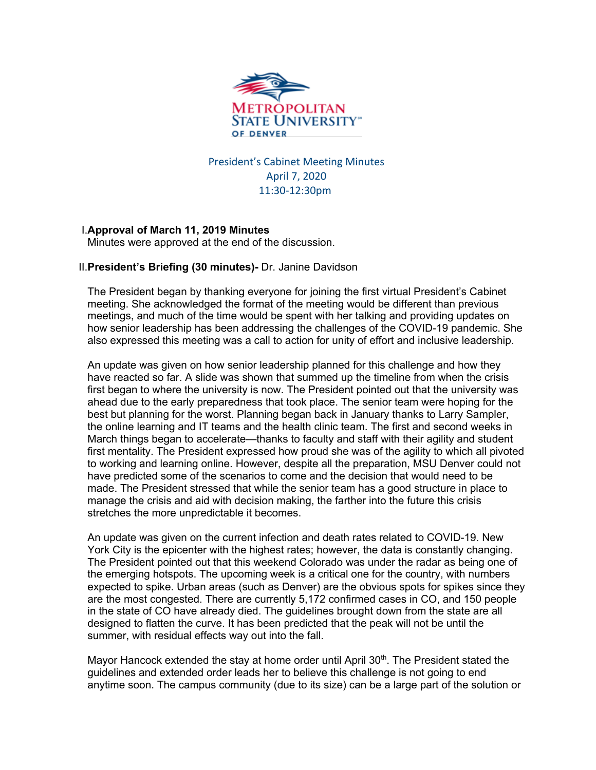

President's Cabinet Meeting Minutes April 7, 2020 11:30-12:30pm

# I.**Approval of March 11, 2019 Minutes**

Minutes were approved at the end of the discussion.

#### II.**President's Briefing (30 minutes)-** Dr. Janine Davidson

The President began by thanking everyone for joining the first virtual President's Cabinet meeting. She acknowledged the format of the meeting would be different than previous meetings, and much of the time would be spent with her talking and providing updates on how senior leadership has been addressing the challenges of the COVID-19 pandemic. She also expressed this meeting was a call to action for unity of effort and inclusive leadership.

An update was given on how senior leadership planned for this challenge and how they have reacted so far. A slide was shown that summed up the timeline from when the crisis first began to where the university is now. The President pointed out that the university was ahead due to the early preparedness that took place. The senior team were hoping for the best but planning for the worst. Planning began back in January thanks to Larry Sampler, the online learning and IT teams and the health clinic team. The first and second weeks in March things began to accelerate—thanks to faculty and staff with their agility and student first mentality. The President expressed how proud she was of the agility to which all pivoted to working and learning online. However, despite all the preparation, MSU Denver could not have predicted some of the scenarios to come and the decision that would need to be made. The President stressed that while the senior team has a good structure in place to manage the crisis and aid with decision making, the farther into the future this crisis stretches the more unpredictable it becomes.

An update was given on the current infection and death rates related to COVID-19. New York City is the epicenter with the highest rates; however, the data is constantly changing. The President pointed out that this weekend Colorado was under the radar as being one of the emerging hotspots. The upcoming week is a critical one for the country, with numbers expected to spike. Urban areas (such as Denver) are the obvious spots for spikes since they are the most congested. There are currently 5,172 confirmed cases in CO, and 150 people in the state of CO have already died. The guidelines brought down from the state are all designed to flatten the curve. It has been predicted that the peak will not be until the summer, with residual effects way out into the fall.

Mayor Hancock extended the stay at home order until April  $30<sup>th</sup>$ . The President stated the guidelines and extended order leads her to believe this challenge is not going to end anytime soon. The campus community (due to its size) can be a large part of the solution or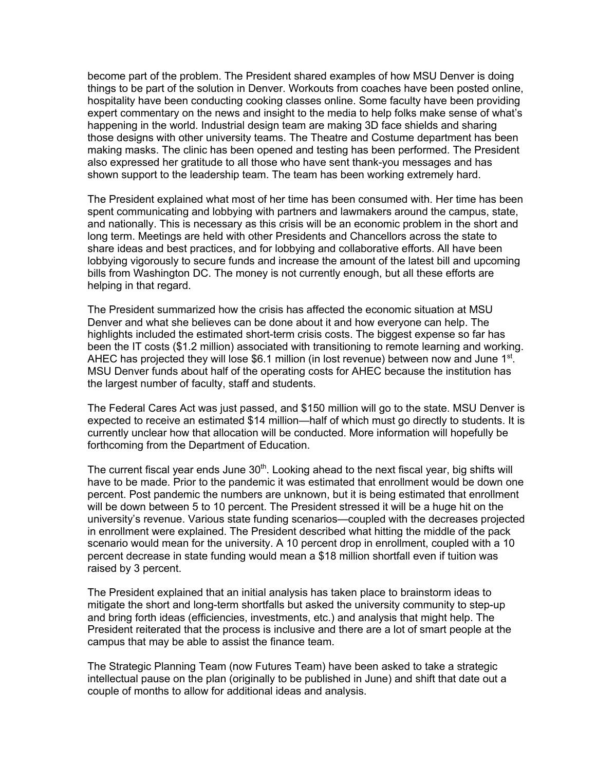become part of the problem. The President shared examples of how MSU Denver is doing things to be part of the solution in Denver. Workouts from coaches have been posted online, hospitality have been conducting cooking classes online. Some faculty have been providing expert commentary on the news and insight to the media to help folks make sense of what's happening in the world. Industrial design team are making 3D face shields and sharing those designs with other university teams. The Theatre and Costume department has been making masks. The clinic has been opened and testing has been performed. The President also expressed her gratitude to all those who have sent thank-you messages and has shown support to the leadership team. The team has been working extremely hard.

The President explained what most of her time has been consumed with. Her time has been spent communicating and lobbying with partners and lawmakers around the campus, state, and nationally. This is necessary as this crisis will be an economic problem in the short and long term. Meetings are held with other Presidents and Chancellors across the state to share ideas and best practices, and for lobbying and collaborative efforts. All have been lobbying vigorously to secure funds and increase the amount of the latest bill and upcoming bills from Washington DC. The money is not currently enough, but all these efforts are helping in that regard.

The President summarized how the crisis has affected the economic situation at MSU Denver and what she believes can be done about it and how everyone can help. The highlights included the estimated short-term crisis costs. The biggest expense so far has been the IT costs (\$1.2 million) associated with transitioning to remote learning and working. AHEC has projected they will lose \$6.1 million (in lost revenue) between now and June  $1<sup>st</sup>$ . MSU Denver funds about half of the operating costs for AHEC because the institution has the largest number of faculty, staff and students.

The Federal Cares Act was just passed, and \$150 million will go to the state. MSU Denver is expected to receive an estimated \$14 million—half of which must go directly to students. It is currently unclear how that allocation will be conducted. More information will hopefully be forthcoming from the Department of Education.

The current fiscal year ends June  $30<sup>th</sup>$ . Looking ahead to the next fiscal year, big shifts will have to be made. Prior to the pandemic it was estimated that enrollment would be down one percent. Post pandemic the numbers are unknown, but it is being estimated that enrollment will be down between 5 to 10 percent. The President stressed it will be a huge hit on the university's revenue. Various state funding scenarios—coupled with the decreases projected in enrollment were explained. The President described what hitting the middle of the pack scenario would mean for the university. A 10 percent drop in enrollment, coupled with a 10 percent decrease in state funding would mean a \$18 million shortfall even if tuition was raised by 3 percent.

The President explained that an initial analysis has taken place to brainstorm ideas to mitigate the short and long-term shortfalls but asked the university community to step-up and bring forth ideas (efficiencies, investments, etc.) and analysis that might help. The President reiterated that the process is inclusive and there are a lot of smart people at the campus that may be able to assist the finance team.

The Strategic Planning Team (now Futures Team) have been asked to take a strategic intellectual pause on the plan (originally to be published in June) and shift that date out a couple of months to allow for additional ideas and analysis.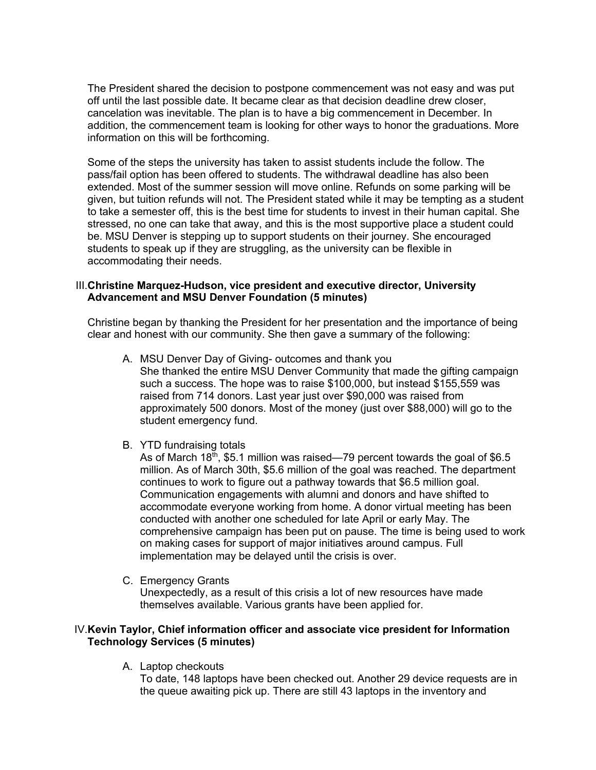The President shared the decision to postpone commencement was not easy and was put off until the last possible date. It became clear as that decision deadline drew closer, cancelation was inevitable. The plan is to have a big commencement in December. In addition, the commencement team is looking for other ways to honor the graduations. More information on this will be forthcoming.

Some of the steps the university has taken to assist students include the follow. The pass/fail option has been offered to students. The withdrawal deadline has also been extended. Most of the summer session will move online. Refunds on some parking will be given, but tuition refunds will not. The President stated while it may be tempting as a student to take a semester off, this is the best time for students to invest in their human capital. She stressed, no one can take that away, and this is the most supportive place a student could be. MSU Denver is stepping up to support students on their journey. She encouraged students to speak up if they are struggling, as the university can be flexible in accommodating their needs.

#### III.**Christine Marquez-Hudson, vice president and executive director, University Advancement and MSU Denver Foundation (5 minutes)**

Christine began by thanking the President for her presentation and the importance of being clear and honest with our community. She then gave a summary of the following:

- A. MSU Denver Day of Giving- outcomes and thank you She thanked the entire MSU Denver Community that made the gifting campaign such a success. The hope was to raise \$100,000, but instead \$155,559 was raised from 714 donors. Last year just over \$90,000 was raised from approximately 500 donors. Most of the money (just over \$88,000) will go to the student emergency fund.
- B. YTD fundraising totals

As of March 18<sup>th</sup>, \$5.1 million was raised—79 percent towards the goal of \$6.5 million. As of March 30th, \$5.6 million of the goal was reached. The department continues to work to figure out a pathway towards that \$6.5 million goal. Communication engagements with alumni and donors and have shifted to accommodate everyone working from home. A donor virtual meeting has been conducted with another one scheduled for late April or early May. The comprehensive campaign has been put on pause. The time is being used to work on making cases for support of major initiatives around campus. Full implementation may be delayed until the crisis is over.

C. Emergency Grants

Unexpectedly, as a result of this crisis a lot of new resources have made themselves available. Various grants have been applied for.

#### IV.**Kevin Taylor, Chief information officer and associate vice president for Information Technology Services (5 minutes)**

A. Laptop checkouts

To date, 148 laptops have been checked out. Another 29 device requests are in the queue awaiting pick up. There are still 43 laptops in the inventory and